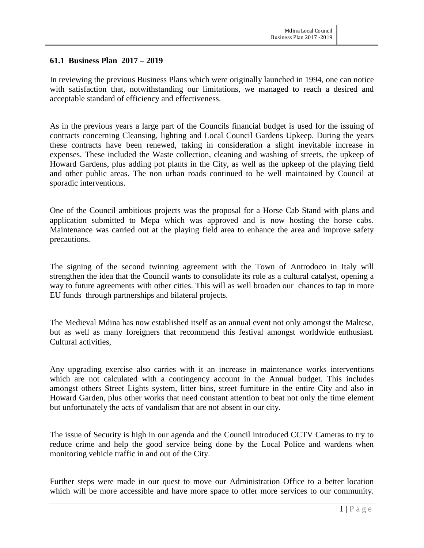# **61.1 Business Plan 2017 – 2019**

In reviewing the previous Business Plans which were originally launched in 1994, one can notice with satisfaction that, notwithstanding our limitations, we managed to reach a desired and acceptable standard of efficiency and effectiveness.

As in the previous years a large part of the Councils financial budget is used for the issuing of contracts concerning Cleansing, lighting and Local Council Gardens Upkeep. During the years these contracts have been renewed, taking in consideration a slight inevitable increase in expenses. These included the Waste collection, cleaning and washing of streets, the upkeep of Howard Gardens, plus adding pot plants in the City, as well as the upkeep of the playing field and other public areas. The non urban roads continued to be well maintained by Council at sporadic interventions.

One of the Council ambitious projects was the proposal for a Horse Cab Stand with plans and application submitted to Mepa which was approved and is now hosting the horse cabs. Maintenance was carried out at the playing field area to enhance the area and improve safety precautions.

The signing of the second twinning agreement with the Town of Antrodoco in Italy will strengthen the idea that the Council wants to consolidate its role as a cultural catalyst, opening a way to future agreements with other cities. This will as well broaden our chances to tap in more EU funds through partnerships and bilateral projects.

The Medieval Mdina has now established itself as an annual event not only amongst the Maltese, but as well as many foreigners that recommend this festival amongst worldwide enthusiast. Cultural activities,

Any upgrading exercise also carries with it an increase in maintenance works interventions which are not calculated with a contingency account in the Annual budget. This includes amongst others Street Lights system, litter bins, street furniture in the entire City and also in Howard Garden, plus other works that need constant attention to beat not only the time element but unfortunately the acts of vandalism that are not absent in our city.

The issue of Security is high in our agenda and the Council introduced CCTV Cameras to try to reduce crime and help the good service being done by the Local Police and wardens when monitoring vehicle traffic in and out of the City.

Further steps were made in our quest to move our Administration Office to a better location which will be more accessible and have more space to offer more services to our community.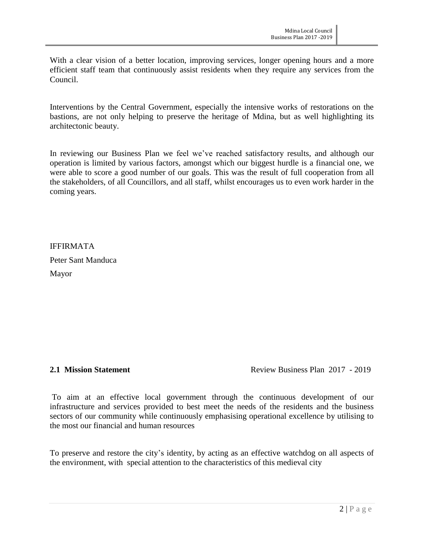With a clear vision of a better location, improving services, longer opening hours and a more efficient staff team that continuously assist residents when they require any services from the Council.

Interventions by the Central Government, especially the intensive works of restorations on the bastions, are not only helping to preserve the heritage of Mdina, but as well highlighting its architectonic beauty.

In reviewing our Business Plan we feel we've reached satisfactory results, and although our operation is limited by various factors, amongst which our biggest hurdle is a financial one, we were able to score a good number of our goals. This was the result of full cooperation from all the stakeholders, of all Councillors, and all staff, whilst encourages us to even work harder in the coming years.

IFFIRMATA Peter Sant Manduca Mayor

**2.1 Mission Statement Review Business Plan 2017 - 2019** 

To aim at an effective local government through the continuous development of our infrastructure and services provided to best meet the needs of the residents and the business sectors of our community while continuously emphasising operational excellence by utilising to the most our financial and human resources

To preserve and restore the city's identity, by acting as an effective watchdog on all aspects of the environment, with special attention to the characteristics of this medieval city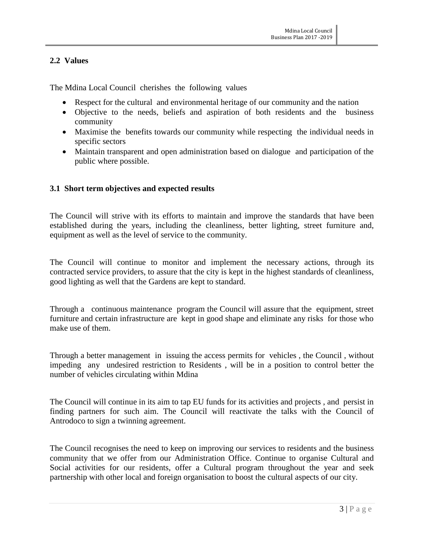# **2.2 Values**

The Mdina Local Council cherishes the following values

- Respect for the cultural and environmental heritage of our community and the nation
- Objective to the needs, beliefs and aspiration of both residents and the business community
- Maximise the benefits towards our community while respecting the individual needs in specific sectors
- Maintain transparent and open administration based on dialogue and participation of the public where possible.

# **3.1 Short term objectives and expected results**

The Council will strive with its efforts to maintain and improve the standards that have been established during the years, including the cleanliness, better lighting, street furniture and, equipment as well as the level of service to the community.

The Council will continue to monitor and implement the necessary actions, through its contracted service providers, to assure that the city is kept in the highest standards of cleanliness, good lighting as well that the Gardens are kept to standard.

Through a continuous maintenance program the Council will assure that the equipment, street furniture and certain infrastructure are kept in good shape and eliminate any risks for those who make use of them.

Through a better management in issuing the access permits for vehicles , the Council , without impeding any undesired restriction to Residents , will be in a position to control better the number of vehicles circulating within Mdina

The Council will continue in its aim to tap EU funds for its activities and projects , and persist in finding partners for such aim. The Council will reactivate the talks with the Council of Antrodoco to sign a twinning agreement.

The Council recognises the need to keep on improving our services to residents and the business community that we offer from our Administration Office. Continue to organise Cultural and Social activities for our residents, offer a Cultural program throughout the year and seek partnership with other local and foreign organisation to boost the cultural aspects of our city.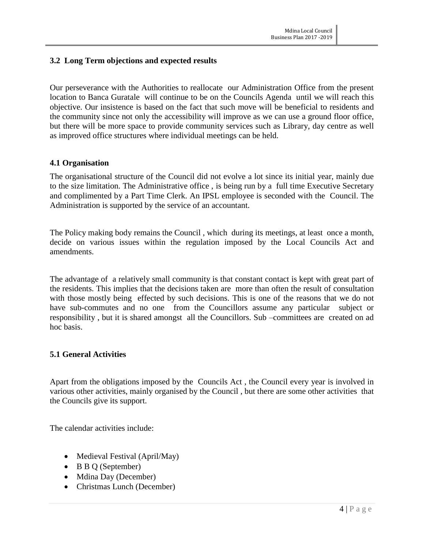# **3.2 Long Term objections and expected results**

Our perseverance with the Authorities to reallocate our Administration Office from the present location to Banca Guratale will continue to be on the Councils Agenda until we will reach this objective. Our insistence is based on the fact that such move will be beneficial to residents and the community since not only the accessibility will improve as we can use a ground floor office, but there will be more space to provide community services such as Library, day centre as well as improved office structures where individual meetings can be held.

### **4.1 Organisation**

The organisational structure of the Council did not evolve a lot since its initial year, mainly due to the size limitation. The Administrative office , is being run by a full time Executive Secretary and complimented by a Part Time Clerk. An IPSL employee is seconded with the Council. The Administration is supported by the service of an accountant.

The Policy making body remains the Council , which during its meetings, at least once a month, decide on various issues within the regulation imposed by the Local Councils Act and amendments.

The advantage of a relatively small community is that constant contact is kept with great part of the residents. This implies that the decisions taken are more than often the result of consultation with those mostly being effected by such decisions. This is one of the reasons that we do not have sub-commutes and no one from the Councillors assume any particular subject or responsibility , but it is shared amongst all the Councillors. Sub –committees are created on ad hoc basis.

### **5.1 General Activities**

Apart from the obligations imposed by the Councils Act , the Council every year is involved in various other activities, mainly organised by the Council , but there are some other activities that the Councils give its support.

The calendar activities include:

- Medieval Festival (April/May)
- B B Q (September)
- Mdina Day (December)
- Christmas Lunch (December)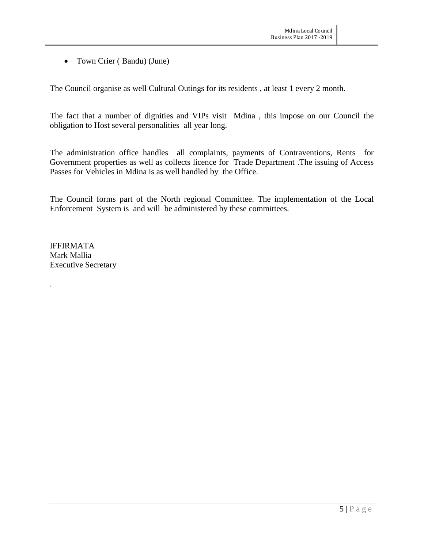• Town Crier (Bandu) (June)

The Council organise as well Cultural Outings for its residents , at least 1 every 2 month.

The fact that a number of dignities and VIPs visit Mdina , this impose on our Council the obligation to Host several personalities all year long.

The administration office handles all complaints, payments of Contraventions, Rents for Government properties as well as collects licence for Trade Department .The issuing of Access Passes for Vehicles in Mdina is as well handled by the Office.

The Council forms part of the North regional Committee. The implementation of the Local Enforcement System is and will be administered by these committees.

IFFIRMATA Mark Mallia Executive Secretary

.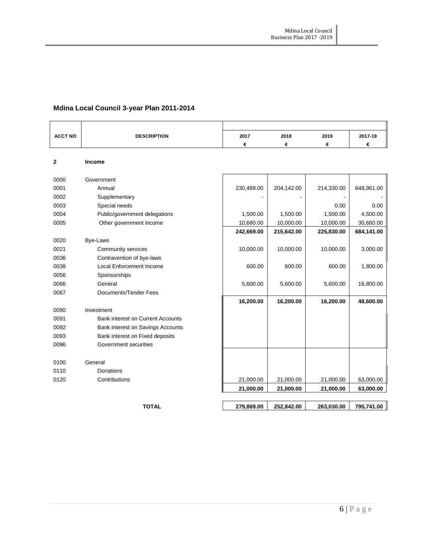# **Mdina Local Council 3-year Plan 2011-2014**

| <b>ACCT NO</b> | <b>DESCRIPTION</b>                       | 2017       | 2018       | 2019       | 2017-19    |
|----------------|------------------------------------------|------------|------------|------------|------------|
|                |                                          | €          | €          | €          | €          |
|                |                                          |            |            |            |            |
| $\mathbf{2}$   | <b>Income</b>                            |            |            |            |            |
| 0000           | Government                               |            |            |            |            |
| 0001           | Annual                                   | 230,489.00 | 204,142.00 | 214,330.00 | 648,961.00 |
| 0002           | Supplementary                            |            |            |            |            |
| 0003           | Special needs                            |            |            | 0.00       | 0.00       |
| 0004           | Public/government delegations            | 1,500.00   | 1,500.00   | 1,500.00   | 4,500.00   |
| 0005           | Other government income                  | 10,680.00  | 10,000.00  | 10,000.00  | 30,680.00  |
|                |                                          | 242,669.00 | 215,642.00 | 225,830.00 | 684,141.00 |
| 0020           | Bye-Laws                                 |            |            |            |            |
| 0021           | Community services                       | 10,000.00  | 10,000.00  | 10,000.00  | 3,000.00   |
| 0036           | Contravention of bye-laws                |            |            |            |            |
| 0038           | <b>Local Enforcement Income</b>          | 600.00     | 600.00     | 600.00     | 1,800.00   |
| 0056           | Sponsorships                             |            |            |            |            |
| 0066           | General                                  | 5,600.00   | 5,600.00   | 5,600.00   | 16,800.00  |
| 0067           | Documents/Tender Fees                    |            |            |            |            |
|                |                                          | 16,200.00  | 16,200.00  | 16,200.00  | 48,600.00  |
| 0090           | Investment                               |            |            |            |            |
| 0091           | <b>Bank interest on Current Accounts</b> |            |            |            |            |
| 0092           | Bank interest on Savings Accounts        |            |            |            |            |
| 0093           | Bank interest on Fixed deposits          |            |            |            |            |
| 0096           | Government securities                    |            |            |            |            |
|                |                                          |            |            |            |            |
| 0100           | General                                  |            |            |            |            |
| 0110           | Donations                                |            |            |            |            |
| 0120           | Contributions                            | 21,000.00  | 21,000.00  | 21,000.00  | 63,000.00  |
|                |                                          | 21,000.00  | 21,000.00  | 21,000.00  | 63,000.00  |

**TOTAL 279,869.00 252,842.00 263,030.00 795,741.00**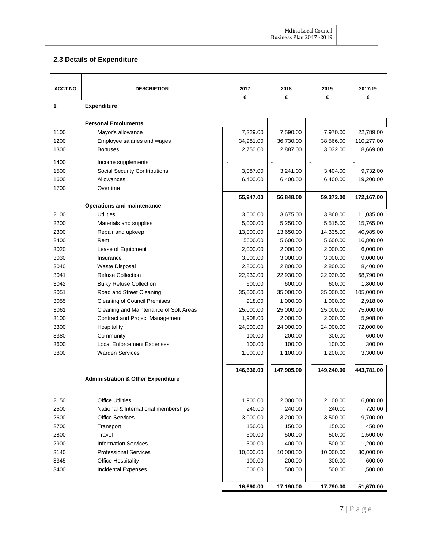# **2.3 Details of Expenditure**

| <b>ACCT NO</b> | <b>DESCRIPTION</b>                            | 2017       | 2018       | 2019       | 2017-19    |
|----------------|-----------------------------------------------|------------|------------|------------|------------|
|                |                                               | €          | €          | €          | €          |
| 1              | <b>Expenditure</b>                            |            |            |            |            |
|                | <b>Personal Emoluments</b>                    |            |            |            |            |
| 1100           | Mayor's allowance                             | 7,229.00   | 7,590.00   | 7.970.00   | 22,789.00  |
| 1200           | Employee salaries and wages                   | 34,981.00  | 36,730.00  | 38,566.00  | 110,277.00 |
| 1300           | <b>Bonuses</b>                                | 2,750.00   | 2,887.00   | 3,032.00   | 8,669.00   |
| 1400           | Income supplements                            |            |            |            |            |
| 1500           | <b>Social Security Contributions</b>          | 3,087.00   | 3,241.00   | 3,404.00   | 9,732.00   |
| 1600           | Allowances                                    | 6,400.00   | 6,400.00   | 6,400.00   | 19,200.00  |
| 1700           | Overtime                                      |            |            |            |            |
|                | <b>Operations and maintenance</b>             | 55,947.00  | 56,848.00  | 59,372.00  | 172,167.00 |
| 2100           | <b>Utilities</b>                              | 3,500.00   | 3,675.00   | 3,860.00   | 11,035.00  |
| 2200           | Materials and supplies                        | 5,000.00   | 5,250.00   | 5,515.00   | 15,765.00  |
| 2300           | Repair and upkeep                             | 13,000.00  | 13,650.00  | 14,335.00  | 40,985.00  |
| 2400           | Rent                                          | 5600.00    | 5,600.00   | 5,600.00   | 16,800.00  |
| 3020           | Lease of Equipment                            | 2,000.00   | 2,000.00   | 2,000.00   | 6,000.00   |
| 3030           | Insurance                                     | 3,000.00   | 3,000.00   | 3,000.00   | 9,000.00   |
| 3040           | <b>Waste Disposal</b>                         | 2,800.00   | 2,800.00   | 2,800.00   | 8,400.00   |
| 3041           | <b>Refuse Collection</b>                      | 22,930.00  | 22,930.00  | 22,930.00  | 68,790.00  |
| 3042           | <b>Bulky Refuse Collection</b>                | 600.00     | 600.00     | 600.00     | 1,800.00   |
| 3051           | Road and Street Cleaning                      | 35,000.00  | 35,000.00  | 35,000.00  | 105,000.00 |
| 3055           | <b>Cleaning of Council Premises</b>           | 918.00     | 1,000.00   | 1,000.00   | 2,918.00   |
| 3061           | Cleaning and Maintenance of Soft Areas        | 25,000.00  | 25,000.00  | 25,000.00  | 75,000.00  |
| 3100           | Contract and Project Management               | 1,908.00   | 2,000.00   | 2,000.00   | 5,908.00   |
| 3300           | Hospitality                                   | 24,000.00  | 24,000.00  | 24,000.00  | 72,000.00  |
| 3380           | Community                                     | 100.00     | 200.00     | 300.00     | 600.00     |
| 3600           | <b>Local Enforcement Expenses</b>             | 100.00     | 100.00     | 100.00     | 300.00     |
| 3800           | <b>Warden Services</b>                        | 1,000.00   | 1,100.00   | 1,200.00   | 3,300.00   |
|                |                                               | 146,636.00 | 147,905.00 | 149,240.00 | 443,781.00 |
|                | <b>Administration &amp; Other Expenditure</b> |            |            |            |            |
|                |                                               |            |            |            |            |
| 2150           | <b>Office Utilities</b>                       | 1,900.00   | 2,000.00   | 2,100.00   | 6,000.00   |
| 2500           | National & International memberships          | 240.00     | 240.00     | 240.00     | 720.00     |
| 2600           | <b>Office Services</b>                        | 3,000.00   | 3,200.00   | 3,500.00   | 9,700.00   |
| 2700           | Transport                                     | 150.00     | 150.00     | 150.00     | 450.00     |
| 2800           | Travel                                        | 500.00     | 500.00     | 500.00     | 1,500.00   |
| 2900           | <b>Information Services</b>                   | 300.00     | 400.00     | 500.00     | 1,200.00   |
| 3140           | <b>Professional Services</b>                  | 10,000.00  | 10,000.00  | 10,000.00  | 30,000.00  |
| 3345           | <b>Office Hospitality</b>                     | 100.00     | 200.00     | 300.00     | 600.00     |
| 3400           | Incidental Expenses                           | 500.00     | 500.00     | 500.00     | 1,500.00   |
|                |                                               | 16,690.00  | 17,190.00  | 17,790.00  | 51,670.00  |